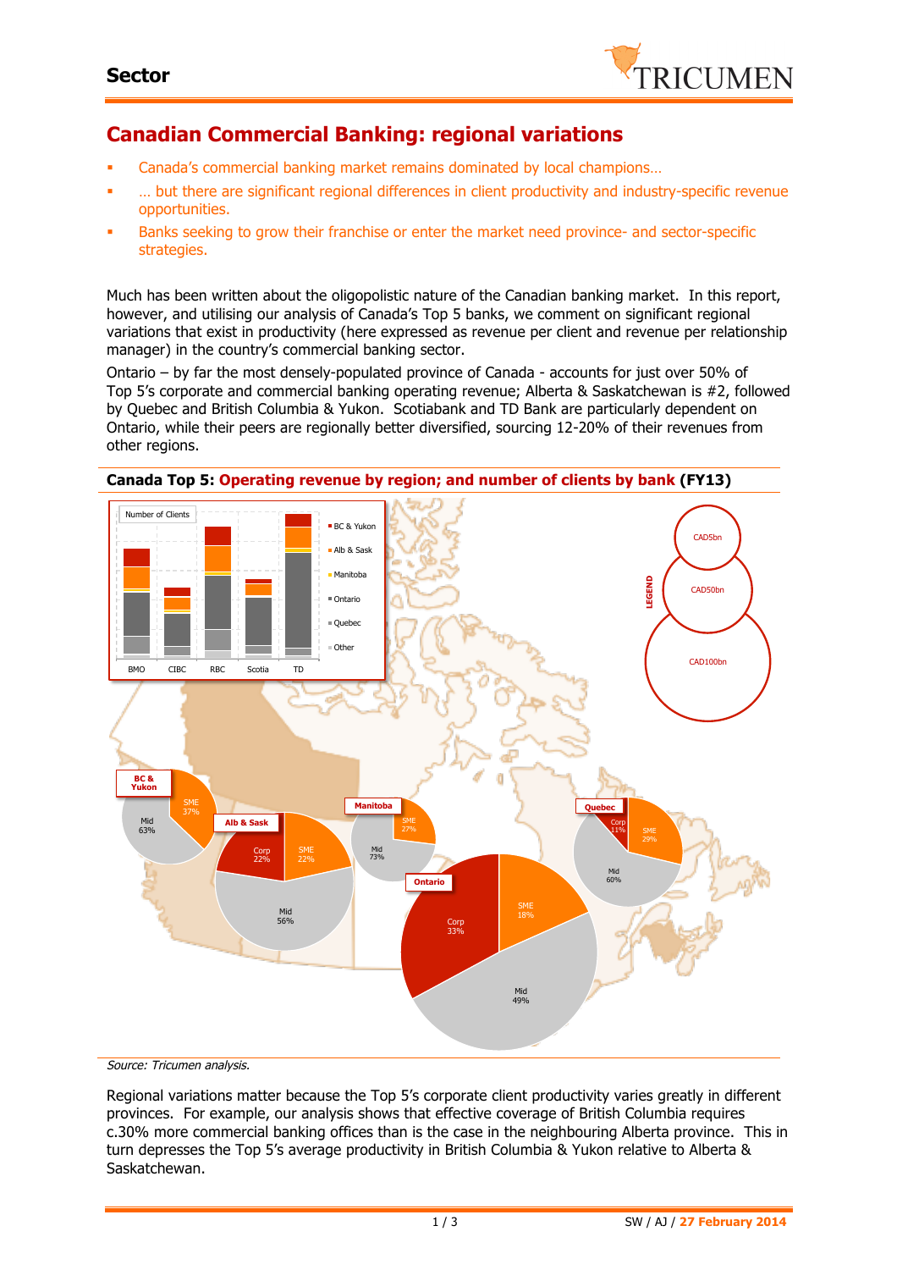

## **Canadian Commercial Banking: regional variations**

- § Canada's commercial banking market remains dominated by local champions…
- § … but there are significant regional differences in client productivity and industry-specific revenue opportunities.
- Banks seeking to grow their franchise or enter the market need province- and sector-specific strategies.

Much has been written about the oligopolistic nature of the Canadian banking market. In this report, however, and utilising our analysis of Canada's Top 5 banks, we comment on significant regional variations that exist in productivity (here expressed as revenue per client and revenue per relationship manager) in the country's commercial banking sector.

Ontario – by far the most densely-populated province of Canada - accounts for just over 50% of Top 5's corporate and commercial banking operating revenue; Alberta & Saskatchewan is #2, followed by Quebec and British Columbia & Yukon. Scotiabank and TD Bank are particularly dependent on Ontario, while their peers are regionally better diversified, sourcing 12-20% of their revenues from other regions.



Source: Tricumen analysis.

Regional variations matter because the Top 5's corporate client productivity varies greatly in different provinces. For example, our analysis shows that effective coverage of British Columbia requires c.30% more commercial banking offices than is the case in the neighbouring Alberta province. This in turn depresses the Top 5's average productivity in British Columbia & Yukon relative to Alberta & Saskatchewan.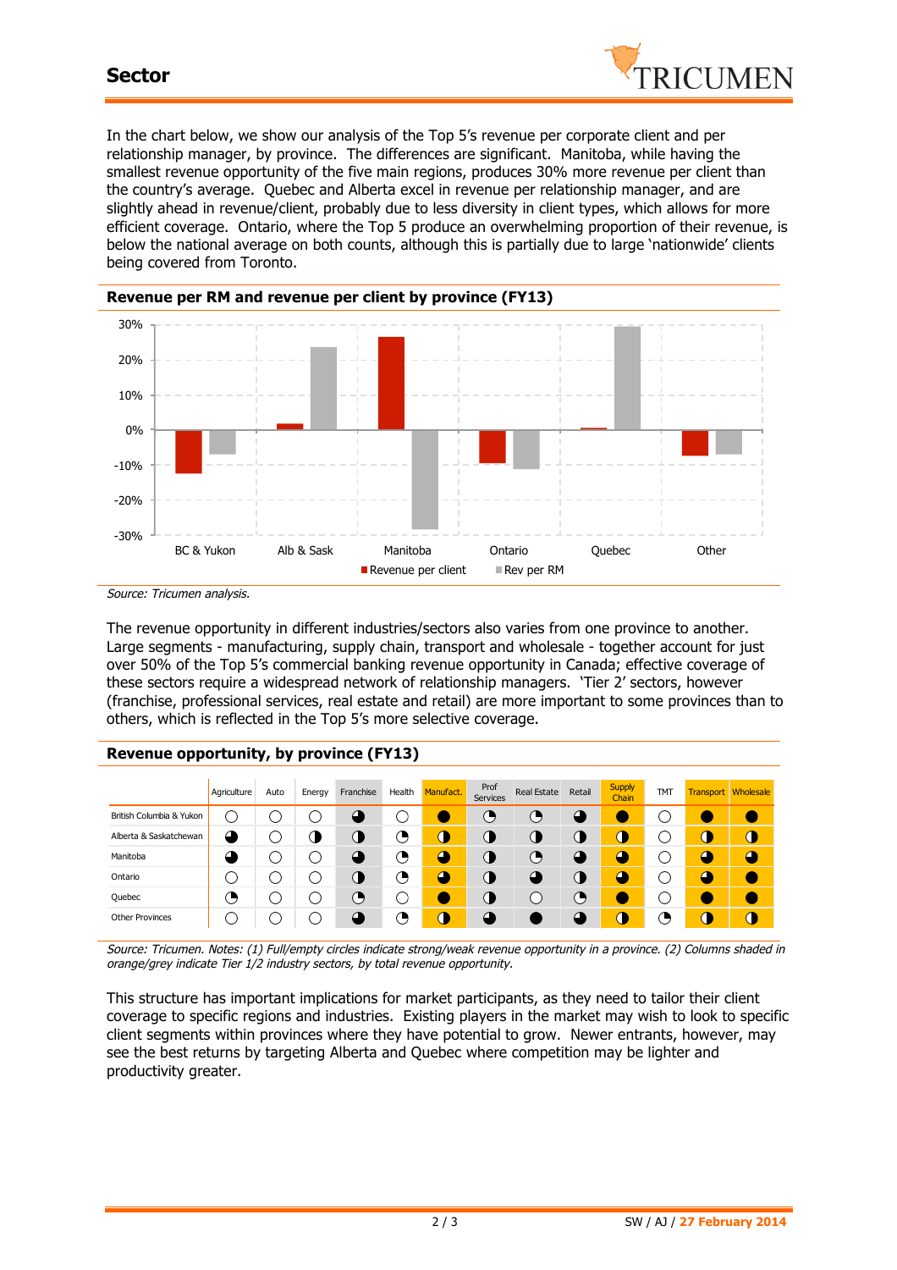

In the chart below, we show our analysis of the Top 5's revenue per corporate client and per relationship manager, by province. The differences are significant. Manitoba, while having the smallest revenue opportunity of the five main regions, produces 30% more revenue per client than the country's average. Quebec and Alberta excel in revenue per relationship manager, and are slightly ahead in revenue/client, probably due to less diversity in client types, which allows for more efficient coverage. Ontario, where the Top 5 produce an overwhelming proportion of their revenue, is below the national average on both counts, although this is partially due to large 'nationwide' clients being covered from Toronto.



Source: Tricumen analysis.

The revenue opportunity in different industries/sectors also varies from one province to another. Large segments - manufacturing, supply chain, transport and wholesale - together account for just over 50% of the Top 5's commercial banking revenue opportunity in Canada; effective coverage of these sectors require a widespread network of relationship managers. 'Tier 2' sectors, however (franchise, professional services, real estate and retail) are more important to some provinces than to others, which is reflected in the Top 5's more selective coverage.

## **Revenue opportunity, by province (FY13)**

|                          | Agriculture   | Auto | Energy | Franchise | Health | Manufact. | Prof<br>Services | <b>Real Estate</b> | Retail | <b>Supply</b><br>Chain | <b>TMT</b> |   | <b>Transport Wholesale</b> |
|--------------------------|---------------|------|--------|-----------|--------|-----------|------------------|--------------------|--------|------------------------|------------|---|----------------------------|
| British Columbia & Yukon | $\rightarrow$ |      |        |           |        |           | e                | э                  |        |                        |            |   |                            |
| Alberta & Saskatchewan   |               |      |        | U.        | ◔      | D         | u                | 0                  |        | л                      | - 1        | т | Т                          |
| Manitoba                 |               |      |        |           | Ο,     | Δ.        | Œ                | π,                 | σ      |                        |            | р |                            |
| Ontario                  |               |      |        | 0         | ்      |           | Œ                | $\bullet$          |        |                        |            | σ |                            |
| Quebec                   | э             |      |        | Θ         |        |           |                  |                    | ъ      |                        |            |   |                            |
| <b>Other Provinces</b>   |               |      |        |           | Δ,     | D         |                  |                    |        |                        | ◔          | J |                            |

Source: Tricumen. Notes: (1) Full/empty circles indicate strong/weak revenue opportunity in a province. (2) Columns shaded in orange/grey indicate Tier 1/2 industry sectors, by total revenue opportunity.

This structure has important implications for market participants, as they need to tailor their client coverage to specific regions and industries. Existing players in the market may wish to look to specific client segments within provinces where they have potential to grow. Newer entrants, however, may see the best returns by targeting Alberta and Quebec where competition may be lighter and productivity greater.